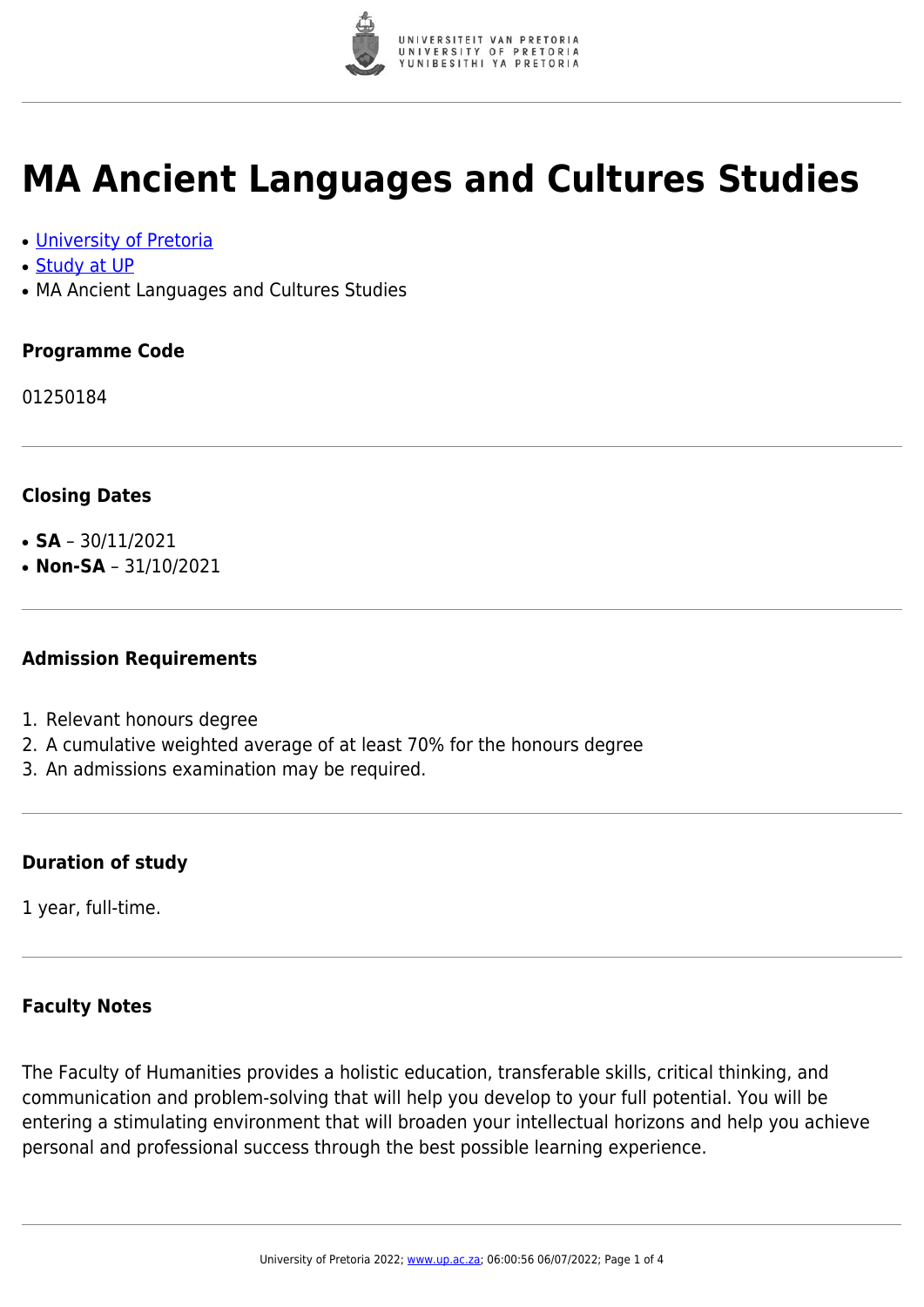

## **MA Ancient Languages and Cultures Studies**

- [University of Pretoria](https://www.up.ac.za/home)
- [Study at UP](https://www.up.ac.za/programmes)
- MA Ancient Languages and Cultures Studies

#### **Programme Code**

01250184

#### **Closing Dates**

- **SA**  $30/11/2021$
- $\cdot$  **Non-SA** 31/10/2021

#### **Admission Requirements**

- 1. Relevant honours degree
- 2. A cumulative weighted average of at least 70% for the honours degree
- 3. An admissions examination may be required.

#### **Duration of study**

1 year, full-time.

### **Faculty Notes**

The Faculty of Humanities provides a holistic education, transferable skills, critical thinking, and communication and problem-solving that will help you develop to your full potential. You will be entering a stimulating environment that will broaden your intellectual horizons and help you achieve personal and professional success through the best possible learning experience.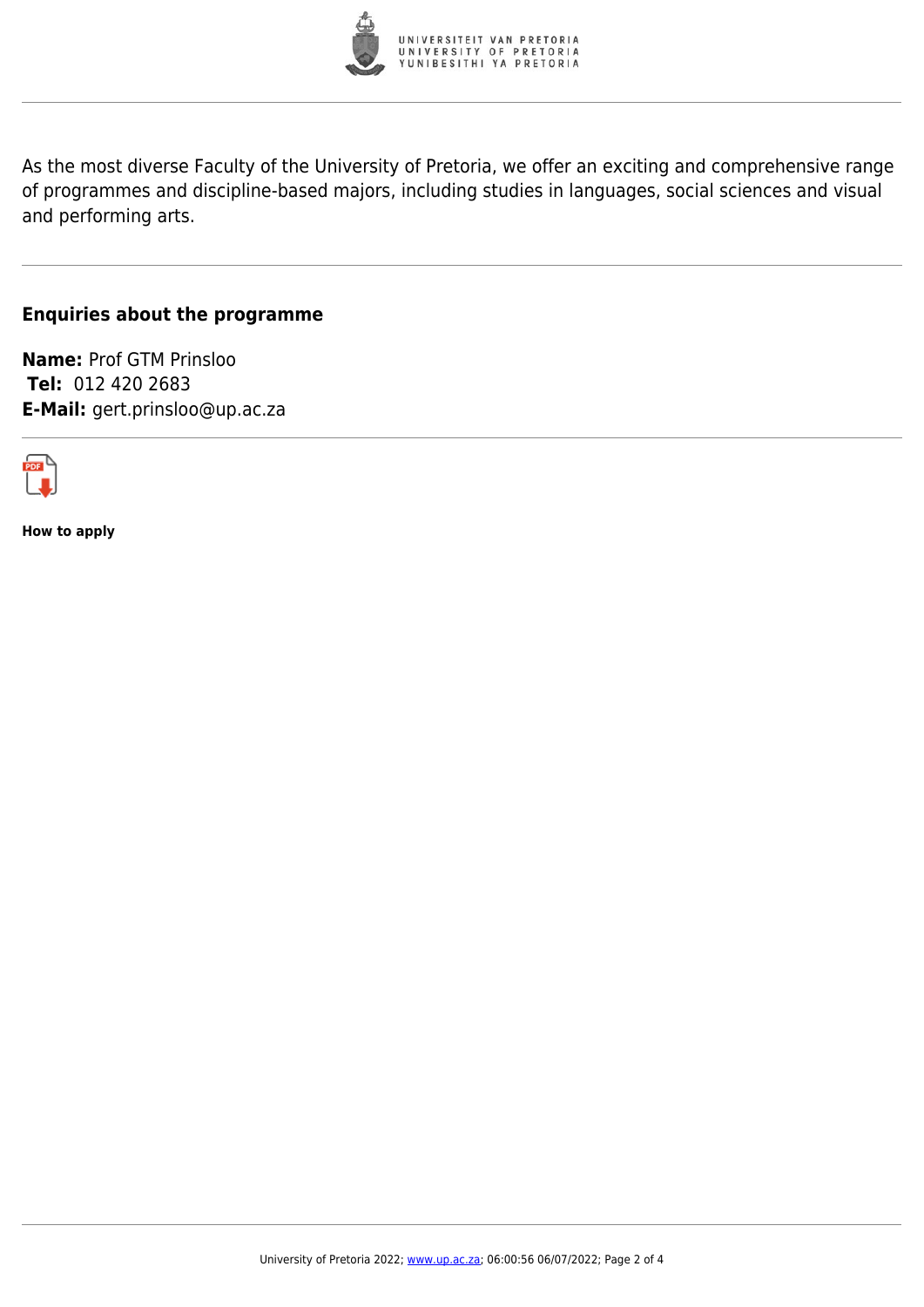

As the most diverse Faculty of the University of Pretoria, we offer an exciting and comprehensive range of programmes and discipline-based majors, including studies in languages, social sciences and visual and performing arts.

#### **Enquiries about the programme**

**Name:** Prof GTM Prinsloo **Tel:** 012 420 2683 **E-Mail:** gert.prinsloo@up.ac.za



**How to apply**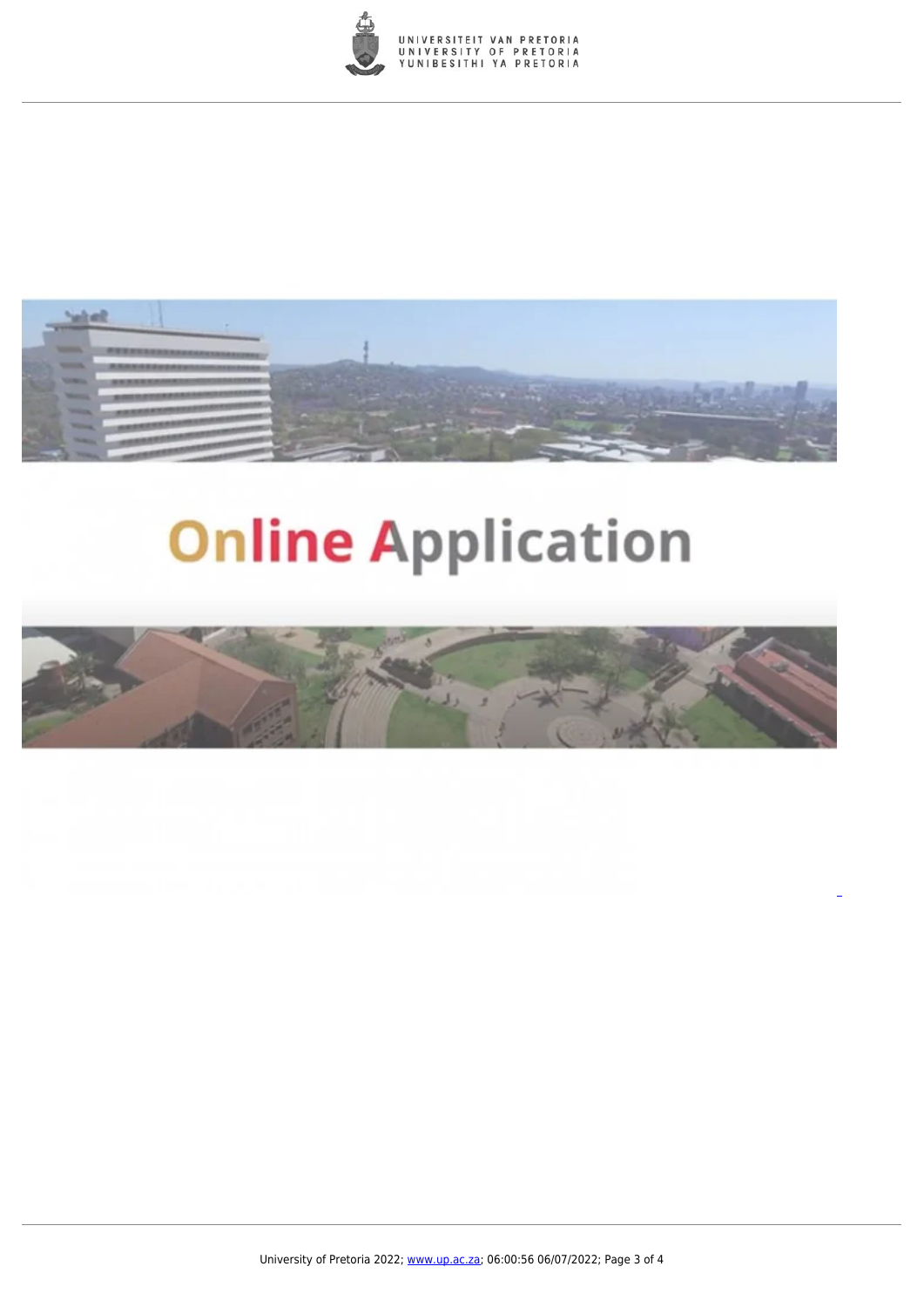



# **Online Application**